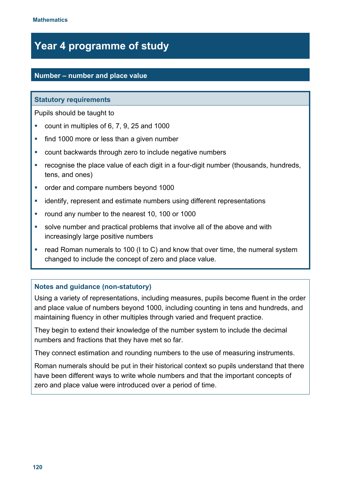# **Year 4 programme of study**

# **Number – number and place value**

### **Statutory requirements**

Pupils should be taught to

- count in multiples of 6, 7, 9, 25 and 1000
- **find 1000 more or less than a given number**
- count backwards through zero to include negative numbers
- **•** recognise the place value of each digit in a four-digit number (thousands, hundreds, tens, and ones)
- order and compare numbers beyond 1000
- **EXECTE:** identify, represent and estimate numbers using different representations
- **•** round any number to the nearest 10, 100 or 1000
- solve number and practical problems that involve all of the above and with increasingly large positive numbers
- $\blacksquare$  read Roman numerals to 100 (I to C) and know that over time, the numeral system changed to include the concept of zero and place value.

### **Notes and guidance (non-statutory)**

Using a variety of representations, including measures, pupils become fluent in the order and place value of numbers beyond 1000, including counting in tens and hundreds, and maintaining fluency in other multiples through varied and frequent practice.

They begin to extend their knowledge of the number system to include the decimal numbers and fractions that they have met so far.

They connect estimation and rounding numbers to the use of measuring instruments.

Roman numerals should be put in their historical context so pupils understand that there have been different ways to write whole numbers and that the important concepts of zero and place value were introduced over a period of time.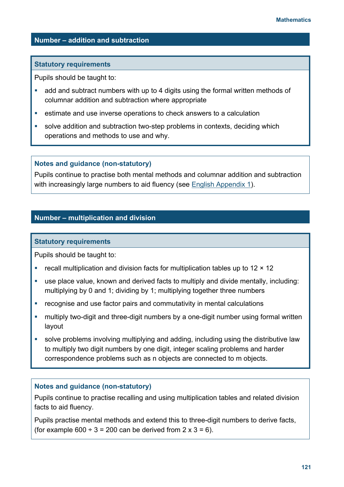#### **Number – addition and subtraction**

#### **Statutory requirements**

Pupils should be taught to:

- add and subtract numbers with up to 4 digits using the formal written methods of columnar addition and subtraction where appropriate
- estimate and use inverse operations to check answers to a calculation
- solve addition and subtraction two-step problems in contexts, deciding which operations and methods to use and why.

### **Notes and guidance (non-statutory)**

Pupils continue to practise both mental methods and columnar addition and subtraction with increasingly large numbers to aid fluency (see English Appendix 1).

### **Number – multiplication and division**

#### **Statutory requirements**

Pupils should be taught to:

- recall multiplication and division facts for multiplication tables up to 12 × 12
- use place value, known and derived facts to multiply and divide mentally, including: multiplying by 0 and 1; dividing by 1; multiplying together three numbers
- recognise and use factor pairs and commutativity in mental calculations
- **•** multiply two-digit and three-digit numbers by a one-digit number using formal written layout
- solve problems involving multiplying and adding, including using the distributive law to multiply two digit numbers by one digit, integer scaling problems and harder correspondence problems such as n objects are connected to m objects.

### **Notes and guidance (non-statutory)**

Pupils continue to practise recalling and using multiplication tables and related division facts to aid fluency.

Pupils practise mental methods and extend this to three-digit numbers to derive facts, (for example  $600 \div 3 = 200$  can be derived from  $2 \times 3 = 6$ ).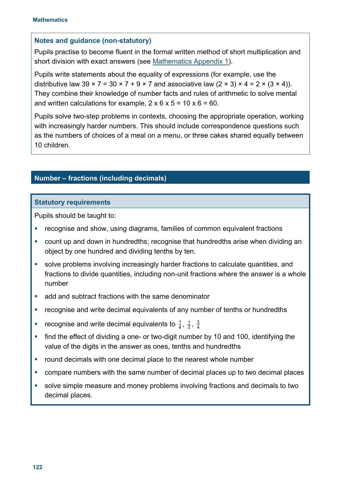### **Notes and guidance (non-statutory)**

Pupils practise to become fluent in the formal written method of short multiplication and short division with exact answers (see Mathematics Appendix 1).

Pupils write statements about the equality of expressions (for example, use the distributive law  $39 \times 7 = 30 \times 7 + 9 \times 7$  and associative law  $(2 \times 3) \times 4 = 2 \times (3 \times 4)$ . They combine their knowledge of number facts and rules of arithmetic to solve mental and written calculations for example,  $2 \times 6 \times 5 = 10 \times 6 = 60$ .

Pupils solve two-step problems in contexts, choosing the appropriate operation, working with increasingly harder numbers. This should include correspondence questions such as the numbers of choices of a meal on a menu, or three cakes shared equally between 10 children.

### **Number – fractions (including decimals)**

### **Statutory requirements**

Pupils should be taught to:

- recognise and show, using diagrams, families of common equivalent fractions
- count up and down in hundredths; recognise that hundredths arise when dividing an object by one hundred and dividing tenths by ten.
- solve problems involving increasingly harder fractions to calculate quantities, and fractions to divide quantities, including non-unit fractions where the answer is a whole number
- add and subtract fractions with the same denominator
- **•** recognise and write decimal equivalents of any number of tenths or hundredths
- **•** recognise and write decimal equivalents to  $\frac{1}{4}$ ,  $\frac{1}{2}$ ,  $\frac{3}{4}$
- find the effect of dividing a one- or two-digit number by 10 and 100, identifying the value of the digits in the answer as ones, tenths and hundredths
- round decimals with one decimal place to the nearest whole number
- compare numbers with the same number of decimal places up to two decimal places
- solve simple measure and money problems involving fractions and decimals to two decimal places.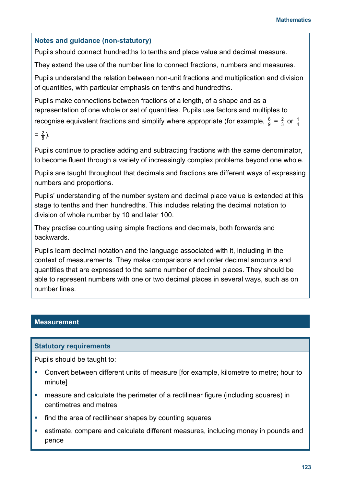# **Notes and guidance (non-statutory)**

Pupils should connect hundredths to tenths and place value and decimal measure.

They extend the use of the number line to connect fractions, numbers and measures.

Pupils understand the relation between non-unit fractions and multiplication and division of quantities, with particular emphasis on tenths and hundredths.

Pupils make connections between fractions of a length, of a shape and as a representation of one whole or set of quantities. Pupils use factors and multiples to recognise equivalent fractions and simplify where appropriate (for example,  $\frac{6}{9}$  =  $\frac{2}{3}$  or  $\frac{1}{4}$ 

 $=\frac{2}{8}$ ).

Pupils continue to practise adding and subtracting fractions with the same denominator, to become fluent through a variety of increasingly complex problems beyond one whole.

Pupils are taught throughout that decimals and fractions are different ways of expressing numbers and proportions.

Pupils' understanding of the number system and decimal place value is extended at this stage to tenths and then hundredths. This includes relating the decimal notation to division of whole number by 10 and later 100.

They practise counting using simple fractions and decimals, both forwards and backwards.

Pupils learn decimal notation and the language associated with it, including in the context of measurements. They make comparisons and order decimal amounts and quantities that are expressed to the same number of decimal places. They should be able to represent numbers with one or two decimal places in several ways, such as on number lines.

# **Measurement**

# **Statutory requirements**

Pupils should be taught to:

- Convert between different units of measure [for example, kilometre to metre; hour to minute]
- measure and calculate the perimeter of a rectilinear figure (including squares) in centimetres and metres
- find the area of rectilinear shapes by counting squares
- estimate, compare and calculate different measures, including money in pounds and pence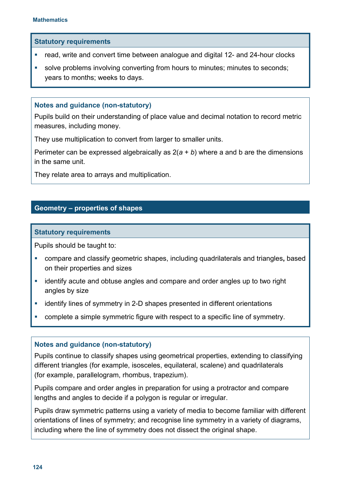### **Statutory requirements**

- read, write and convert time between analogue and digital 12- and 24-hour clocks
- solve problems involving converting from hours to minutes; minutes to seconds; years to months; weeks to days.

### **Notes and guidance (non-statutory)**

Pupils build on their understanding of place value and decimal notation to record metric measures, including money.

They use multiplication to convert from larger to smaller units.

Perimeter can be expressed algebraically as 2(*a* + *b*) where a and b are the dimensions in the same unit.

They relate area to arrays and multiplication.

# **Geometry – properties of shapes**

### **Statutory requirements**

Pupils should be taught to:

- compare and classify geometric shapes, including quadrilaterals and triangles**,** based on their properties and sizes
- **EXEDENT** identify acute and obtuse angles and compare and order angles up to two right angles by size
- **EXEDENT** identify lines of symmetry in 2-D shapes presented in different orientations
- complete a simple symmetric figure with respect to a specific line of symmetry.

### **Notes and guidance (non-statutory)**

Pupils continue to classify shapes using geometrical properties, extending to classifying different triangles (for example, isosceles, equilateral, scalene) and quadrilaterals (for example, parallelogram, rhombus, trapezium).

Pupils compare and order angles in preparation for using a protractor and compare lengths and angles to decide if a polygon is regular or irregular.

Pupils draw symmetric patterns using a variety of media to become familiar with different orientations of lines of symmetry; and recognise line symmetry in a variety of diagrams, including where the line of symmetry does not dissect the original shape.